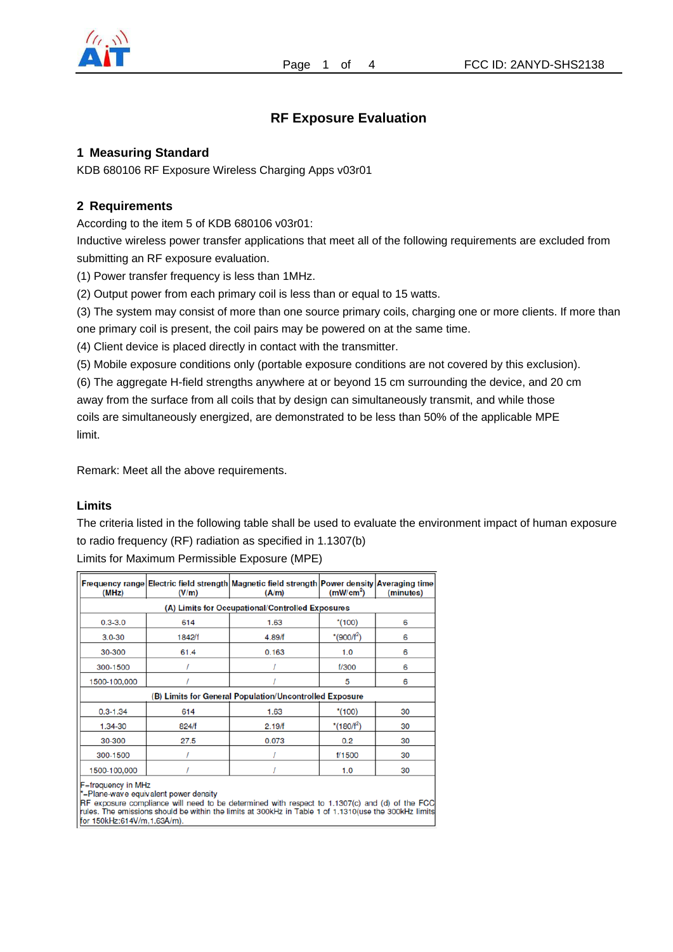

# **RF Exposure Evaluation**

### **1 Measuring Standard**

KDB 680106 RF Exposure Wireless Charging Apps v03r01

### **2 Requirements**

According to the item 5 of KDB 680106 v03r01:

Inductive wireless power transfer applications that meet all of the following requirements are excluded from submitting an RF exposure evaluation.

(1) Power transfer frequency is less than 1MHz.

(2) Output power from each primary coil is less than or equal to 15 watts.

(3) The system may consist of more than one source primary coils, charging one or more clients. If more than one primary coil is present, the coil pairs may be powered on at the same time.

(4) Client device is placed directly in contact with the transmitter.

(5) Mobile exposure conditions only (portable exposure conditions are not covered by this exclusion).

(6) The aggregate H-field strengths anywhere at or beyond 15 cm surrounding the device, and 20 cm away from the surface from all coils that by design can simultaneously transmit, and while those coils are simultaneously energized, are demonstrated to be less than 50% of the applicable MPE limit.

Remark: Meet all the above requirements.

#### **Limits**

The criteria listed in the following table shall be used to evaluate the environment impact of human exposure to radio frequency (RF) radiation as specified in 1.1307(b) Limits for Maximum Permissible Exposure (MPE)

| <b>Frequency range</b><br>(MHz)                         | (V/m)                                            | Electric field strength Magnetic field strength Power density Averaging time<br>(A/m) | (mW/cm <sup>2</sup> )  | (minutes) |  |  |  |  |  |
|---------------------------------------------------------|--------------------------------------------------|---------------------------------------------------------------------------------------|------------------------|-----------|--|--|--|--|--|
|                                                         | (A) Limits for Occupational/Controlled Exposures |                                                                                       |                        |           |  |  |  |  |  |
| $0.3 - 3.0$                                             | 614                                              | 1.63                                                                                  | $*(100)$               | 6         |  |  |  |  |  |
| $3.0 - 30$                                              | 1842/f                                           | 4.89/f                                                                                | *(900/f <sup>2</sup> ) | 6         |  |  |  |  |  |
| 30-300                                                  | 61.4                                             | 0.163                                                                                 | 1.0                    | 6         |  |  |  |  |  |
| 300-1500                                                |                                                  |                                                                                       | f/300                  | 6         |  |  |  |  |  |
| 1500-100,000                                            |                                                  |                                                                                       | 5                      | 6         |  |  |  |  |  |
| (B) Limits for General Population/Uncontrolled Exposure |                                                  |                                                                                       |                        |           |  |  |  |  |  |
| $0.3 - 1.34$                                            | 614                                              | 1.63                                                                                  | $*(100)$               | 30        |  |  |  |  |  |
| 1.34-30                                                 | 824/f                                            | 2.19/f                                                                                | *(180/f <sup>2</sup> ) | 30        |  |  |  |  |  |
| 30-300                                                  | 27.5                                             | 0.073                                                                                 | 0.2                    | 30        |  |  |  |  |  |
| 300-1500                                                |                                                  |                                                                                       | 1/1500                 | 30        |  |  |  |  |  |
| 1500-100,000                                            |                                                  |                                                                                       | 1.0                    | 30        |  |  |  |  |  |

F=frequency in MHz

\*=Plane-wave equivalent power density

RF exposure compliance will need to be determined with respect to 1.1307(c) and (d) of the FCC rules. The emissions should be within the limits at 300kHz in Table 1 of 1.1310(use the 300kHz limits for 150kHz:614V/m,1.63A/m).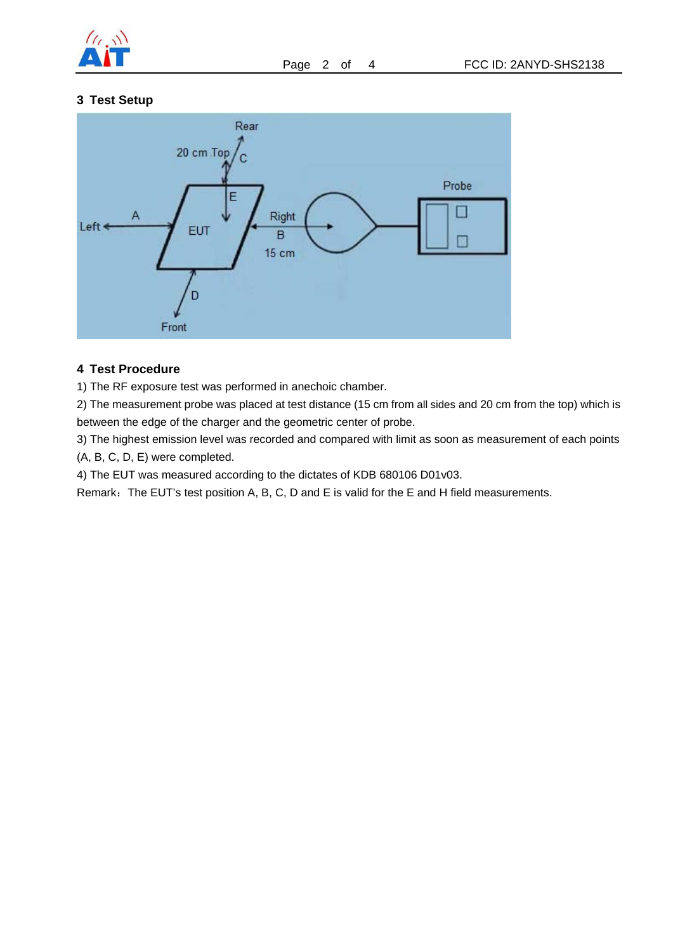

### **3 Test Setup**



### **4 Test Procedure**

1) The RF exposure test was performed in anechoic chamber.

2) The measurement probe was placed at test distance (15 cm from all sides and 20 cm from the top) which is between the edge of the charger and the geometric center of probe.

3) The highest emission level was recorded and compared with limit as soon as measurement of each points (A, B, C, D, E) were completed.

4) The EUT was measured according to the dictates of KDB 680106 D01v03.

Remark: The EUT's test position A, B, C, D and E is valid for the E and H field measurements.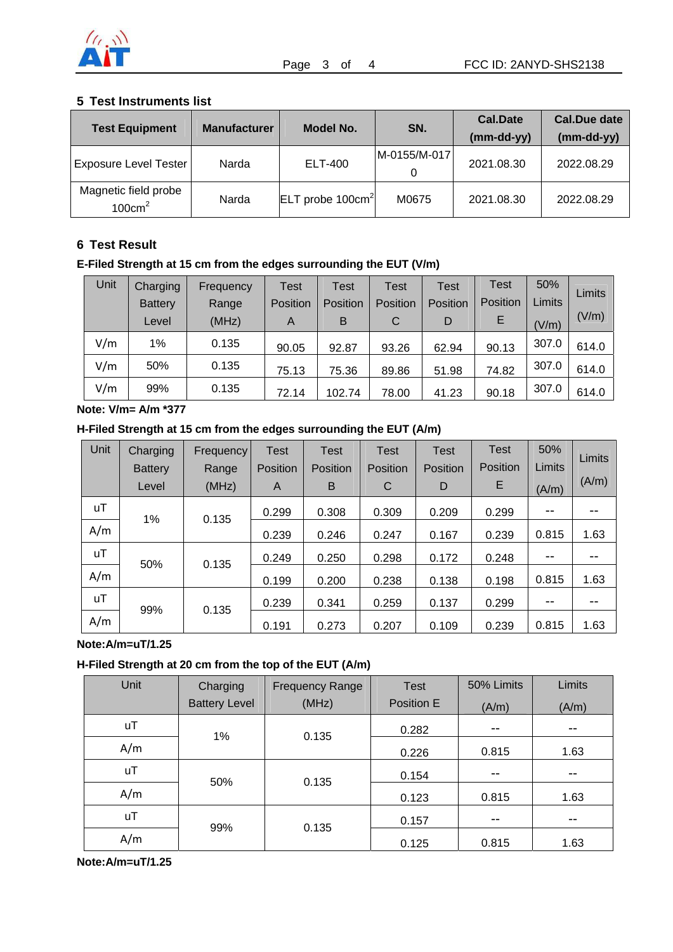

### **5 Test Instruments list**

| <b>Test Equipment</b>                     | <b>Manufacturer</b> | Model No.              | SN.          | <b>Cal.Date</b><br>$(mm-dd-yy)$ | Cal.Due date<br>$(mm-dd-yy)$ |
|-------------------------------------------|---------------------|------------------------|--------------|---------------------------------|------------------------------|
|                                           |                     |                        |              |                                 |                              |
| <b>Exposure Level Tester</b>              | Narda               | ELT-400                | M-0155/M-017 | 2021.08.30                      | 2022.08.29                   |
|                                           |                     |                        | 0            |                                 |                              |
| Magnetic field probe<br>$100 \text{cm}^2$ | Narda               | $ ELT$ probe 100 $cm2$ | M0675        | 2021.08.30                      | 2022.08.29                   |

## **6 Test Result**

# **E-Filed Strength at 15 cm from the edges surrounding the EUT (V/m)**

| Unit | Charging       | Frequency | Test     | Test     | Test     | Test     | Test     | 50%           | Limits |
|------|----------------|-----------|----------|----------|----------|----------|----------|---------------|--------|
|      | <b>Battery</b> | Range     | Position | Position | Position | Position | Position | <b>Limits</b> |        |
|      | Level          | (MHz)     | A        | B        | C        | D        | E        | (V/m)         | (V/m)  |
| V/m  | 1%             | 0.135     | 90.05    | 92.87    | 93.26    | 62.94    | 90.13    | 307.0         | 614.0  |
| V/m  | 50%            | 0.135     | 75.13    | 75.36    | 89.86    | 51.98    | 74.82    | 307.0         | 614.0  |
| V/m  | 99%            | 0.135     | 72.14    | 102.74   | 78.00    | 41.23    | 90.18    | 307.0         | 614.0  |

**Note: V/m= A/m \*377** 

### **H-Filed Strength at 15 cm from the edges surrounding the EUT (A/m)**

| Unit      | Charging<br><b>Battery</b><br>Level | <b>Frequency</b><br>Range<br>(MHz) | Test<br>Position<br>A | <b>Test</b><br>Position<br>B | <b>Test</b><br>Position<br>C | <b>Test</b><br><b>Position</b><br>D | <b>Test</b><br>Position<br>E | 50%<br>Limits<br>(A/m) | Limits<br>(A/m) |
|-----------|-------------------------------------|------------------------------------|-----------------------|------------------------------|------------------------------|-------------------------------------|------------------------------|------------------------|-----------------|
| <b>uT</b> | 1%                                  | 0.135                              | 0.299                 | 0.308                        | 0.309                        | 0.209                               | 0.299                        | $- -$                  |                 |
| A/m       |                                     |                                    | 0.239                 | 0.246                        | 0.247                        | 0.167                               | 0.239                        | 0.815                  | 1.63            |
| uT        | 50%                                 | 0.135                              | 0.249                 | 0.250                        | 0.298                        | 0.172                               | 0.248                        | $- -$                  |                 |
| A/m       |                                     |                                    | 0.199                 | 0.200                        | 0.238                        | 0.138                               | 0.198                        | 0.815                  | 1.63            |
| uT        | 99%                                 | 0.135                              | 0.239                 | 0.341                        | 0.259                        | 0.137                               | 0.299                        | $- -$                  |                 |
| A/m       |                                     |                                    | 0.191                 | 0.273                        | 0.207                        | 0.109                               | 0.239                        | 0.815                  | 1.63            |

**Note:A/m=uT/1.25** 

# **H-Filed Strength at 20 cm from the top of the EUT (A/m)**

| Unit      | Charging             | <b>Frequency Range</b> | <b>Test</b> | 50% Limits | <b>Limits</b> |
|-----------|----------------------|------------------------|-------------|------------|---------------|
|           | <b>Battery Level</b> | (MHz)                  | Position E  | (A/m)      | (A/m)         |
| <b>uT</b> | 1%                   | 0.135                  | 0.282       | $- -$      | $- -$         |
| A/m       |                      |                        | 0.226       | 0.815      | 1.63          |
| <b>uT</b> | 50%                  | 0.135                  | 0.154       | $- -$      | $- -$         |
| A/m       |                      |                        | 0.123       | 0.815      | 1.63          |
| <b>uT</b> | 99%                  | 0.135                  | 0.157       | $- -$      | $- -$         |
| A/m       |                      |                        | 0.125       | 0.815      | 1.63          |

**Note:A/m=uT/1.25**